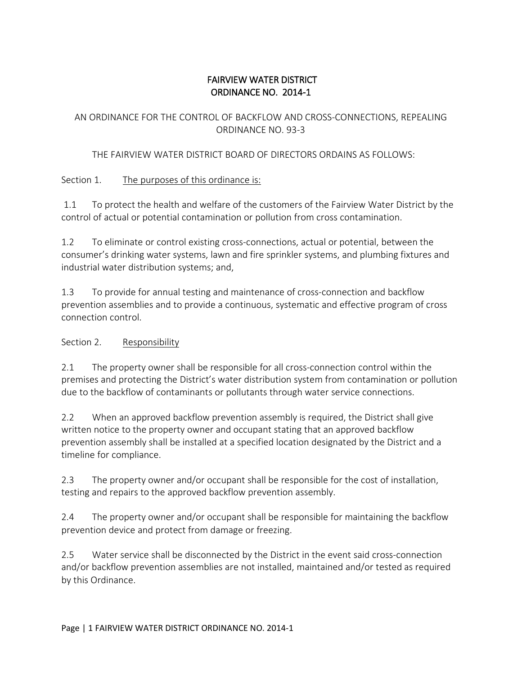## FAIRVIEW WATER DISTRICT ORDINANCE NO. 2014-1

### AN ORDINANCE FOR THE CONTROL OF BACKFLOW AND CROSS-CONNECTIONS, REPEALING ORDINANCE NO. 93-3

### THE FAIRVIEW WATER DISTRICT BOARD OF DIRECTORS ORDAINS AS FOLLOWS:

### Section 1. The purposes of this ordinance is:

1.1 To protect the health and welfare of the customers of the Fairview Water District by the control of actual or potential contamination or pollution from cross contamination.

1.2 To eliminate or control existing cross-connections, actual or potential, between the consumer's drinking water systems, lawn and fire sprinkler systems, and plumbing fixtures and industrial water distribution systems; and,

1.3 To provide for annual testing and maintenance of cross-connection and backflow prevention assemblies and to provide a continuous, systematic and effective program of cross connection control.

#### Section 2. Responsibility

2.1 The property owner shall be responsible for all cross-connection control within the premises and protecting the District's water distribution system from contamination or pollution due to the backflow of contaminants or pollutants through water service connections.

2.2 When an approved backflow prevention assembly is required, the District shall give written notice to the property owner and occupant stating that an approved backflow prevention assembly shall be installed at a specified location designated by the District and a timeline for compliance.

2.3 The property owner and/or occupant shall be responsible for the cost of installation, testing and repairs to the approved backflow prevention assembly.

2.4 The property owner and/or occupant shall be responsible for maintaining the backflow prevention device and protect from damage or freezing.

2.5 Water service shall be disconnected by the District in the event said cross-connection and/or backflow prevention assemblies are not installed, maintained and/or tested as required by this Ordinance.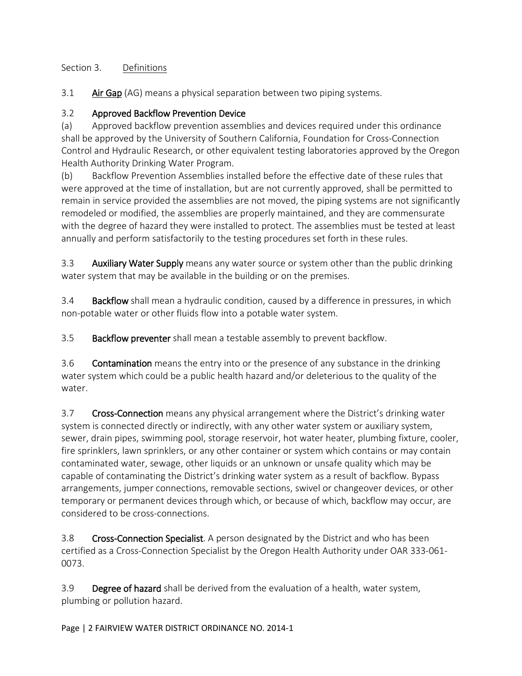## Section 3. Definitions

3.1 Air Gap (AG) means a physical separation between two piping systems.

### 3.2 Approved Backflow Prevention Device

(a) Approved backflow prevention assemblies and devices required under this ordinance shall be approved by the University of Southern California, Foundation for Cross-Connection Control and Hydraulic Research, or other equivalent testing laboratories approved by the Oregon Health Authority Drinking Water Program.

(b) Backflow Prevention Assemblies installed before the effective date of these rules that were approved at the time of installation, but are not currently approved, shall be permitted to remain in service provided the assemblies are not moved, the piping systems are not significantly remodeled or modified, the assemblies are properly maintained, and they are commensurate with the degree of hazard they were installed to protect. The assemblies must be tested at least annually and perform satisfactorily to the testing procedures set forth in these rules.

3.3 Auxiliary Water Supply means any water source or system other than the public drinking water system that may be available in the building or on the premises.

3.4 Backflow shall mean a hydraulic condition, caused by a difference in pressures, in which non-potable water or other fluids flow into a potable water system.

3.5 Backflow preventer shall mean a testable assembly to prevent backflow.

3.6 Contamination means the entry into or the presence of any substance in the drinking water system which could be a public health hazard and/or deleterious to the quality of the water.

3.7 Cross-Connection means any physical arrangement where the District's drinking water system is connected directly or indirectly, with any other water system or auxiliary system, sewer, drain pipes, swimming pool, storage reservoir, hot water heater, plumbing fixture, cooler, fire sprinklers, lawn sprinklers, or any other container or system which contains or may contain contaminated water, sewage, other liquids or an unknown or unsafe quality which may be capable of contaminating the District's drinking water system as a result of backflow. Bypass arrangements, jumper connections, removable sections, swivel or changeover devices, or other temporary or permanent devices through which, or because of which, backflow may occur, are considered to be cross-connections.

3.8 Cross-Connection Specialist. A person designated by the District and who has been certified as a Cross-Connection Specialist by the Oregon Health Authority under OAR 333-061- 0073.

3.9 Degree of hazard shall be derived from the evaluation of a health, water system, plumbing or pollution hazard.

Page | 2 FAIRVIEW WATER DISTRICT ORDINANCE NO. 2014-1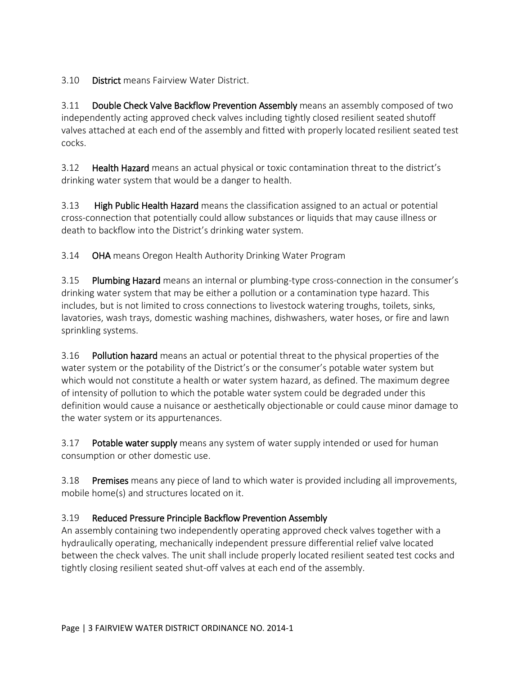3.10 District means Fairview Water District.

3.11 Double Check Valve Backflow Prevention Assembly means an assembly composed of two independently acting approved check valves including tightly closed resilient seated shutoff valves attached at each end of the assembly and fitted with properly located resilient seated test cocks.

3.12 Health Hazard means an actual physical or toxic contamination threat to the district's drinking water system that would be a danger to health.

3.13 High Public Health Hazard means the classification assigned to an actual or potential cross-connection that potentially could allow substances or liquids that may cause illness or death to backflow into the District's drinking water system.

3.14 OHA means Oregon Health Authority Drinking Water Program

3.15 Plumbing Hazard means an internal or plumbing-type cross-connection in the consumer's drinking water system that may be either a pollution or a contamination type hazard. This includes, but is not limited to cross connections to livestock watering troughs, toilets, sinks, lavatories, wash trays, domestic washing machines, dishwashers, water hoses, or fire and lawn sprinkling systems.

3.16 Pollution hazard means an actual or potential threat to the physical properties of the water system or the potability of the District's or the consumer's potable water system but which would not constitute a health or water system hazard, as defined. The maximum degree of intensity of pollution to which the potable water system could be degraded under this definition would cause a nuisance or aesthetically objectionable or could cause minor damage to the water system or its appurtenances.

3.17 Potable water supply means any system of water supply intended or used for human consumption or other domestic use.

3.18 Premises means any piece of land to which water is provided including all improvements, mobile home(s) and structures located on it.

## 3.19 Reduced Pressure Principle Backflow Prevention Assembly

An assembly containing two independently operating approved check valves together with a hydraulically operating, mechanically independent pressure differential relief valve located between the check valves. The unit shall include properly located resilient seated test cocks and tightly closing resilient seated shut-off valves at each end of the assembly.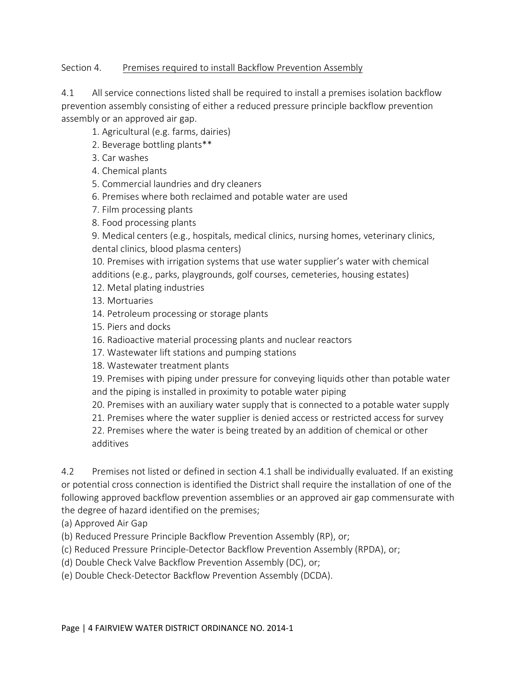#### Section 4. Premises required to install Backflow Prevention Assembly

4.1 All service connections listed shall be required to install a premises isolation backflow prevention assembly consisting of either a reduced pressure principle backflow prevention assembly or an approved air gap.

- 1. Agricultural (e.g. farms, dairies)
- 2. Beverage bottling plants\*\*
- 3. Car washes
- 4. Chemical plants
- 5. Commercial laundries and dry cleaners
- 6. Premises where both reclaimed and potable water are used
- 7. Film processing plants
- 8. Food processing plants

9. Medical centers (e.g., hospitals, medical clinics, nursing homes, veterinary clinics, dental clinics, blood plasma centers)

10. Premises with irrigation systems that use water supplier's water with chemical additions (e.g., parks, playgrounds, golf courses, cemeteries, housing estates)

- 12. Metal plating industries
- 13. Mortuaries
- 14. Petroleum processing or storage plants
- 15. Piers and docks
- 16. Radioactive material processing plants and nuclear reactors
- 17. Wastewater lift stations and pumping stations
- 18. Wastewater treatment plants

19. Premises with piping under pressure for conveying liquids other than potable water and the piping is installed in proximity to potable water piping

- 20. Premises with an auxiliary water supply that is connected to a potable water supply
- 21. Premises where the water supplier is denied access or restricted access for survey

22. Premises where the water is being treated by an addition of chemical or other additives

4.2 Premises not listed or defined in section 4.1 shall be individually evaluated. If an existing or potential cross connection is identified the District shall require the installation of one of the following approved backflow prevention assemblies or an approved air gap commensurate with the degree of hazard identified on the premises;

(a) Approved Air Gap

(b) Reduced Pressure Principle Backflow Prevention Assembly (RP), or;

(c) Reduced Pressure Principle-Detector Backflow Prevention Assembly (RPDA), or;

(d) Double Check Valve Backflow Prevention Assembly (DC), or;

(e) Double Check-Detector Backflow Prevention Assembly (DCDA).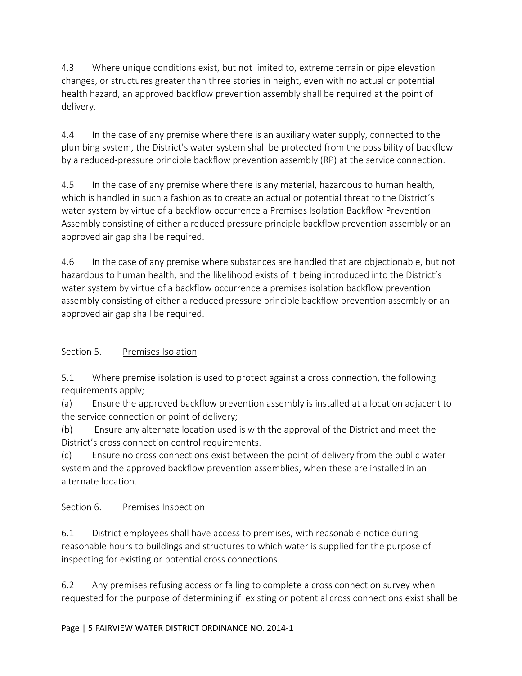4.3 Where unique conditions exist, but not limited to, extreme terrain or pipe elevation changes, or structures greater than three stories in height, even with no actual or potential health hazard, an approved backflow prevention assembly shall be required at the point of delivery.

4.4 In the case of any premise where there is an auxiliary water supply, connected to the plumbing system, the District's water system shall be protected from the possibility of backflow by a reduced-pressure principle backflow prevention assembly (RP) at the service connection.

4.5 In the case of any premise where there is any material, hazardous to human health, which is handled in such a fashion as to create an actual or potential threat to the District's water system by virtue of a backflow occurrence a Premises Isolation Backflow Prevention Assembly consisting of either a reduced pressure principle backflow prevention assembly or an approved air gap shall be required.

4.6 In the case of any premise where substances are handled that are objectionable, but not hazardous to human health, and the likelihood exists of it being introduced into the District's water system by virtue of a backflow occurrence a premises isolation backflow prevention assembly consisting of either a reduced pressure principle backflow prevention assembly or an approved air gap shall be required.

# Section 5. Premises Isolation

5.1 Where premise isolation is used to protect against a cross connection, the following requirements apply;

(a) Ensure the approved backflow prevention assembly is installed at a location adjacent to the service connection or point of delivery;

(b) Ensure any alternate location used is with the approval of the District and meet the District's cross connection control requirements.

(c) Ensure no cross connections exist between the point of delivery from the public water system and the approved backflow prevention assemblies, when these are installed in an alternate location.

## Section 6. Premises Inspection

6.1 District employees shall have access to premises, with reasonable notice during reasonable hours to buildings and structures to which water is supplied for the purpose of inspecting for existing or potential cross connections.

6.2 Any premises refusing access or failing to complete a cross connection survey when requested for the purpose of determining if existing or potential cross connections exist shall be

#### Page | 5 FAIRVIEW WATER DISTRICT ORDINANCE NO. 2014-1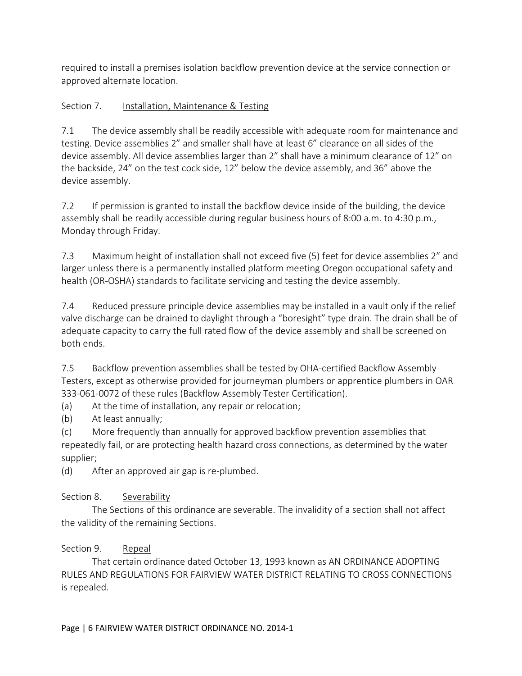required to install a premises isolation backflow prevention device at the service connection or approved alternate location.

# Section 7. Installation, Maintenance & Testing

7.1 The device assembly shall be readily accessible with adequate room for maintenance and testing. Device assemblies 2" and smaller shall have at least 6" clearance on all sides of the device assembly. All device assemblies larger than 2" shall have a minimum clearance of 12" on the backside, 24" on the test cock side, 12" below the device assembly, and 36" above the device assembly.

7.2 If permission is granted to install the backflow device inside of the building, the device assembly shall be readily accessible during regular business hours of 8:00 a.m. to 4:30 p.m., Monday through Friday.

7.3 Maximum height of installation shall not exceed five (5) feet for device assemblies 2" and larger unless there is a permanently installed platform meeting Oregon occupational safety and health (OR-OSHA) standards to facilitate servicing and testing the device assembly.

7.4 Reduced pressure principle device assemblies may be installed in a vault only if the relief valve discharge can be drained to daylight through a "boresight" type drain. The drain shall be of adequate capacity to carry the full rated flow of the device assembly and shall be screened on both ends.

7.5 Backflow prevention assemblies shall be tested by OHA-certified Backflow Assembly Testers, except as otherwise provided for journeyman plumbers or apprentice plumbers in OAR 333-061-0072 of these rules (Backflow Assembly Tester Certification).

(a) At the time of installation, any repair or relocation;

(b) At least annually;

(c) More frequently than annually for approved backflow prevention assemblies that repeatedly fail, or are protecting health hazard cross connections, as determined by the water supplier;

(d) After an approved air gap is re-plumbed.

# Section 8. Severability

The Sections of this ordinance are severable. The invalidity of a section shall not affect the validity of the remaining Sections.

# Section 9. Repeal

That certain ordinance dated October 13, 1993 known as AN ORDINANCE ADOPTING RULES AND REGULATIONS FOR FAIRVIEW WATER DISTRICT RELATING TO CROSS CONNECTIONS is repealed.